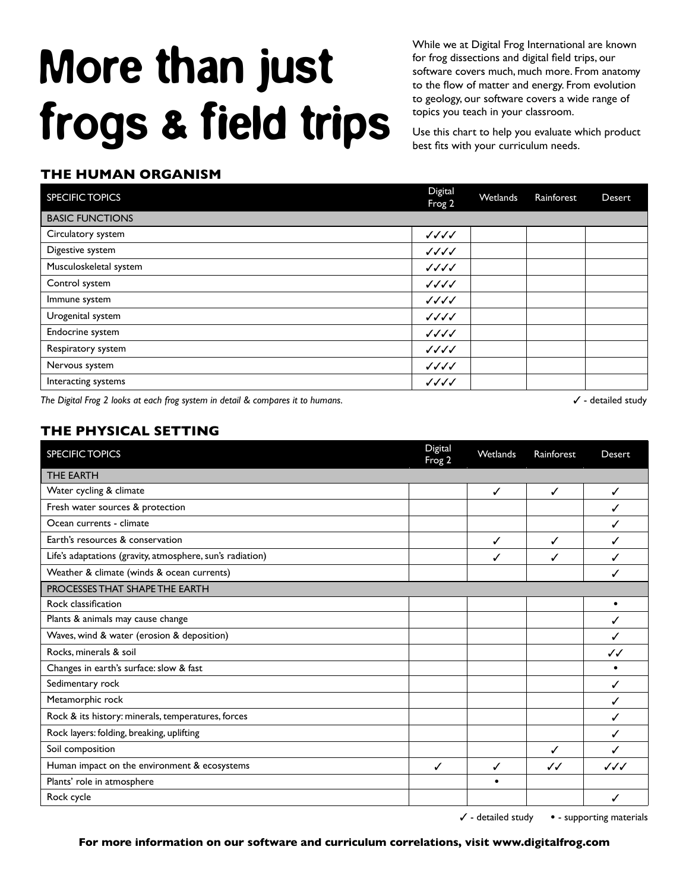## More than just frogs & field trips

While we at Digital Frog International are known for frog dissections and digital field trips, our software covers much, much more. From anatomy to the flow of matter and energy. From evolution to geology, our software covers a wide range of topics you teach in your classroom.

Use this chart to help you evaluate which product best fits with your curriculum needs.

## **THE HUMAN ORGANISM**

| <b>SPECIFIC TOPICS</b> | Digital<br>Frog 2                  | Wetlands | Rainforest | Desert |
|------------------------|------------------------------------|----------|------------|--------|
| <b>BASIC FUNCTIONS</b> |                                    |          |            |        |
| Circulatory system     | $\sqrt{\sqrt{\sqrt{\}}}}$          |          |            |        |
| Digestive system       | $\sqrt{\sqrt{\sqrt{\}}}}$          |          |            |        |
| Musculoskeletal system | $\sqrt{\sqrt{\sqrt{\mathcal{N}}}}$ |          |            |        |
| Control system         | $\sqrt{\sqrt{\sqrt{\mathcal{N}}}}$ |          |            |        |
| Immune system          | $\sqrt{\sqrt{\sqrt{\mathcal{N}}}}$ |          |            |        |
| Urogenital system      | $\sqrt{\sqrt{\sqrt{\mathcal{N}}}}$ |          |            |        |
| Endocrine system       | ノノノノ                               |          |            |        |
| Respiratory system     | $\sqrt{\sqrt{\sqrt{\mathcal{N}}}}$ |          |            |        |
| Nervous system         | $\sqrt{\sqrt{\}}$                  |          |            |        |
| Interacting systems    | $\sqrt{\sqrt{\}}$                  |          |            |        |

The Digital Frog 2 looks at each frog system in detail & compares it to humans.  $\checkmark$  and the study of the study of the study

## **THE PHYSICAL SETTING**

| <b>SPECIFIC TOPICS</b>                                    | Digital<br>Frog 2 | Wetlands | Rainforest   | <b>Desert</b> |
|-----------------------------------------------------------|-------------------|----------|--------------|---------------|
| <b>THE EARTH</b>                                          |                   |          |              |               |
| Water cycling & climate                                   |                   | ✓        | ✓            | ✓             |
| Fresh water sources & protection                          |                   |          |              |               |
| Ocean currents - climate                                  |                   |          |              |               |
| Earth's resources & conservation                          |                   | ✓        | ✓            | ✓             |
| Life's adaptations (gravity, atmosphere, sun's radiation) |                   | ✓        |              |               |
| Weather & climate (winds & ocean currents)                |                   |          |              |               |
| PROCESSES THAT SHAPE THE EARTH                            |                   |          |              |               |
| Rock classification                                       |                   |          |              | $\bullet$     |
| Plants & animals may cause change                         |                   |          |              | ✓             |
| Waves, wind & water (erosion & deposition)                |                   |          |              |               |
| Rocks, minerals & soil                                    |                   |          |              | J J           |
| Changes in earth's surface: slow & fast                   |                   |          |              |               |
| Sedimentary rock                                          |                   |          |              | √             |
| Metamorphic rock                                          |                   |          |              |               |
| Rock & its history: minerals, temperatures, forces        |                   |          |              |               |
| Rock layers: folding, breaking, uplifting                 |                   |          |              |               |
| Soil composition                                          |                   |          | J            |               |
| Human impact on the environment & ecosystems              | ✓                 | ✓        | $\checkmark$ | JJJ           |
| Plants' role in atmosphere                                |                   |          |              |               |
| Rock cycle                                                |                   |          |              | √             |

- detailed study **•** - supporting materials

**For more information on our software and curriculum correlations, visit www.digitalfrog.com**